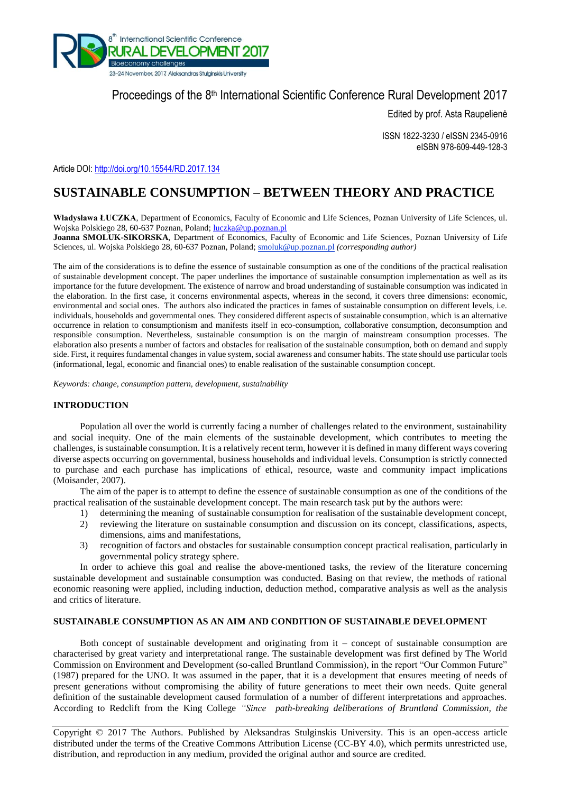

# Proceedings of the 8<sup>th</sup> International Scientific Conference Rural Development 2017

Edited by prof. Asta Raupelienė

ISSN 1822-3230 / eISSN 2345-0916 eISBN 978-609-449-128-3

Article DOI:<http://doi.org/10.15544/RD.2017.134>

# **SUSTAINABLE CONSUMPTION – BETWEEN THEORY AND PRACTICE**

**Władysława ŁUCZKA**, Department of Economics, Faculty of Economic and Life Sciences, Poznan University of Life Sciences, ul. Wojska Polskiego 28, 60-637 Poznan, Poland; [luczka@up.poznan.pl](mailto:luczka@up.poznan.pl)

**Joanna SMOLUK-SIKORSKA**, Department of Economics, Faculty of Economic and Life Sciences, Poznan University of Life Sciences, ul. Wojska Polskiego 28, 60-637 Poznan, Poland; smoluk@up.poznan.pl *(corresponding author)*

The aim of the considerations is to define the essence of sustainable consumption as one of the conditions of the practical realisation of sustainable development concept. The paper underlines the importance of sustainable consumption implementation as well as its importance for the future development. The existence of narrow and broad understanding of sustainable consumption was indicated in the elaboration. In the first case, it concerns environmental aspects, whereas in the second, it covers three dimensions: economic, environmental and social ones. The authors also indicated the practices in fames of sustainable consumption on different levels, i.e. individuals, households and governmental ones. They considered different aspects of sustainable consumption, which is an alternative occurrence in relation to consumptionism and manifests itself in eco-consumption, collaborative consumption, deconsumption and responsible consumption. Nevertheless, sustainable consumption is on the margin of mainstream consumption processes. The elaboration also presents a number of factors and obstacles for realisation of the sustainable consumption, both on demand and supply side. First, it requires fundamental changes in value system, social awareness and consumer habits. The state should use particular tools (informational, legal, economic and financial ones) to enable realisation of the sustainable consumption concept.

*Keywords: change, consumption pattern, development, sustainability*

## **INTRODUCTION**

Population all over the world is currently facing a number of challenges related to the environment, sustainability and social inequity. One of the main elements of the sustainable development, which contributes to meeting the challenges, is sustainable consumption. It is a relatively recent term, however it is defined in many different ways covering diverse aspects occurring on governmental, business households and individual levels. Consumption is strictly connected to purchase and each purchase has implications of ethical, resource, waste and community impact implications (Moisander, 2007).

The aim of the paper is to attempt to define the essence of sustainable consumption as one of the conditions of the practical realisation of the sustainable development concept. The main research task put by the authors were:

- 1) determining the meaning of sustainable consumption for realisation of the sustainable development concept,
- 2) reviewing the literature on sustainable consumption and discussion on its concept, classifications, aspects, dimensions, aims and manifestations,
- 3) recognition of factors and obstacles for sustainable consumption concept practical realisation, particularly in governmental policy strategy sphere.

In order to achieve this goal and realise the above-mentioned tasks, the review of the literature concerning sustainable development and sustainable consumption was conducted. Basing on that review, the methods of rational economic reasoning were applied, including induction, deduction method, comparative analysis as well as the analysis and critics of literature.

## **SUSTAINABLE CONSUMPTION AS AN AIM AND CONDITION OF SUSTAINABLE DEVELOPMENT**

Both concept of sustainable development and originating from it – concept of sustainable consumption are characterised by great variety and interpretational range. The sustainable development was first defined by The World Commission on Environment and Development (so-called Bruntland Commission), in the report "Our Common Future" (1987) prepared for the UNO. It was assumed in the paper, that it is a development that ensures meeting of needs of present generations without compromising the ability of future generations to meet their own needs. Quite general definition of the sustainable development caused formulation of a number of different interpretations and approaches. According to Redclift from the King College *"Since path-breaking deliberations of Bruntland Commission, the* 

Copyright © 2017 The Authors. Published by Aleksandras Stulginskis University. This is an open-access article distributed under the terms of the Creative Commons Attribution License (CC-BY 4.0), which permits unrestricted use, distribution, and reproduction in any medium, provided the original author and source are credited.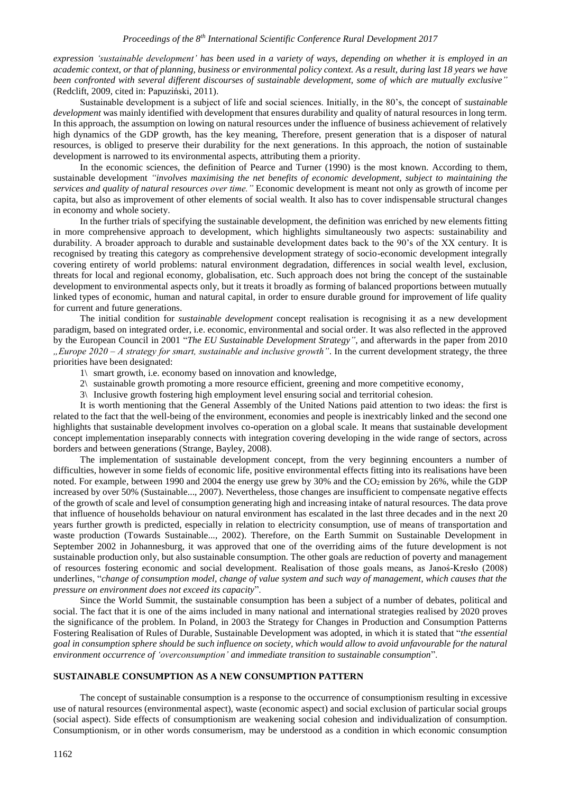*expression 'sustainable development' has been used in a variety of ways, depending on whether it is employed in an academic context, or that of planning, business or environmental policy context. As a result, during last 18 years we have been confronted with several different discourses of sustainable development, some of which are mutually exclusive"* (Redclift, 2009, cited in: Papuziński, 2011).

Sustainable development is a subject of life and social sciences. Initially, in the 80's, the concept of *sustainable development* was mainly identified with development that ensures durability and quality of natural resources in long term. In this approach, the assumption on lowing on natural resources under the influence of business achievement of relatively high dynamics of the GDP growth, has the key meaning, Therefore, present generation that is a disposer of natural resources, is obliged to preserve their durability for the next generations. In this approach, the notion of sustainable development is narrowed to its environmental aspects, attributing them a priority.

In the economic sciences, the definition of Pearce and Turner (1990) is the most known. According to them, sustainable development *"involves maximising the net benefits of economic development, subject to maintaining the services and quality of natural resources over time."* Economic development is meant not only as growth of income per capita, but also as improvement of other elements of social wealth. It also has to cover indispensable structural changes in economy and whole society.

In the further trials of specifying the sustainable development, the definition was enriched by new elements fitting in more comprehensive approach to development, which highlights simultaneously two aspects: sustainability and durability. A broader approach to durable and sustainable development dates back to the 90's of the XX century. It is recognised by treating this category as comprehensive development strategy of socio-economic development integrally covering entirety of world problems: natural environment degradation, differences in social wealth level, exclusion, threats for local and regional economy, globalisation, etc. Such approach does not bring the concept of the sustainable development to environmental aspects only, but it treats it broadly as forming of balanced proportions between mutually linked types of economic, human and natural capital, in order to ensure durable ground for improvement of life quality for current and future generations.

The initial condition for *sustainable development* concept realisation is recognising it as a new development paradigm, based on integrated order, i.e. economic, environmental and social order. It was also reflected in the approved by the European Council in 2001 "*The EU Sustainable Development Strategy"*, and afterwards in the paper from 2010 *"Europe 2020 – A strategy for smart, sustainable and inclusive growth"*. In the current development strategy, the three priorities have been designated:

- 1\ smart growth, i.e. economy based on innovation and knowledge,
- 2\ sustainable growth promoting a more resource efficient, greening and more competitive economy,
- 3\ Inclusive growth fostering high employment level ensuring social and territorial cohesion.

It is worth mentioning that the General Assembly of the United Nations paid attention to two ideas: the first is related to the fact that the well-being of the environment, economies and people is inextricably linked and the second one highlights that sustainable development involves co-operation on a global scale. It means that sustainable development concept implementation inseparably connects with integration covering developing in the wide range of sectors, across borders and between generations (Strange, Bayley, 2008).

The implementation of sustainable development concept, from the very beginning encounters a number of difficulties, however in some fields of economic life, positive environmental effects fitting into its realisations have been noted. For example, between 1990 and 2004 the energy use grew by 30% and the  $CO<sub>2</sub>$  emission by 26%, while the GDP increased by over 50% (Sustainable..., 2007). Nevertheless, those changes are insufficient to compensate negative effects of the growth of scale and level of consumption generating high and increasing intake of natural resources. The data prove that influence of households behaviour on natural environment has escalated in the last three decades and in the next 20 years further growth is predicted, especially in relation to electricity consumption, use of means of transportation and waste production (Towards Sustainable..., 2002). Therefore, on the Earth Summit on Sustainable Development in September 2002 in Johannesburg, it was approved that one of the overriding aims of the future development is not sustainable production only, but also sustainable consumption. The other goals are reduction of poverty and management of resources fostering economic and social development. Realisation of those goals means, as Janoś-Kresło (2008) underlines, "*change of consumption model, change of value system and such way of management, which causes that the pressure on environment does not exceed its capacity*".

Since the World Summit, the sustainable consumption has been a subject of a number of debates, political and social. The fact that it is one of the aims included in many national and international strategies realised by 2020 proves the significance of the problem. In Poland, in 2003 the Strategy for Changes in Production and Consumption Patterns Fostering Realisation of Rules of Durable, Sustainable Development was adopted, in which it is stated that "*the essential goal in consumption sphere should be such influence on society, which would allow to avoid unfavourable for the natural environment occurrence of 'overconsumption' and immediate transition to sustainable consumption*".

#### **SUSTAINABLE CONSUMPTION AS A NEW CONSUMPTION PATTERN**

The concept of sustainable consumption is a response to the occurrence of consumptionism resulting in excessive use of natural resources (environmental aspect), waste (economic aspect) and social exclusion of particular social groups (social aspect). Side effects of consumptionism are weakening social cohesion and individualization of consumption. Consumptionism, or in other words consumerism, may be understood as a condition in which economic consumption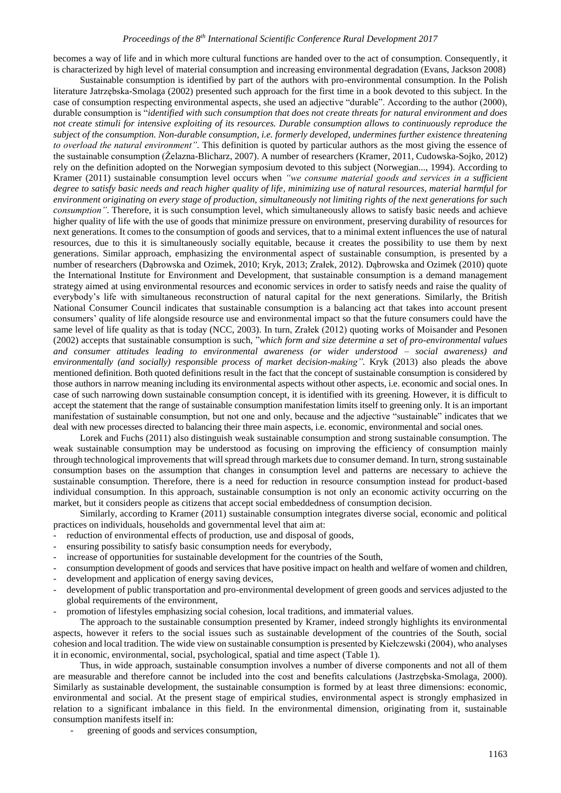becomes a way of life and in which more cultural functions are handed over to the act of consumption. Consequently, it is characterized by high level of material consumption and increasing environmental degradation (Evans, Jackson 2008)

Sustainable consumption is identified by part of the authors with pro-environmental consumption. In the Polish literature Jatrzębska-Smolaga (2002) presented such approach for the first time in a book devoted to this subject. In the case of consumption respecting environmental aspects, she used an adjective "durable". According to the author (2000), durable consumption is "*identified with such consumption that does not create threats for natural environment and does not create stimuli for intensive exploiting of its resources. Durable consumption allows to continuously reproduce the subject of the consumption. Non-durable consumption, i.e. formerly developed, undermines further existence threatening to overload the natural environment"*. This definition is quoted by particular authors as the most giving the essence of the sustainable consumption (Żelazna-Blicharz, 2007). A number of researchers (Kramer, 2011, Cudowska-Sojko, 2012) rely on the definition adopted on the Norwegian symposium devoted to this subject (Norwegian..., 1994). According to Kramer (2011) sustainable consumption level occurs when *"we consume material goods and services in a sufficient degree to satisfy basic needs and reach higher quality of life, minimizing use of natural resources, material harmful for environment originating on every stage of production, simultaneously not limiting rights of the next generations for such consumption"*. Therefore, it is such consumption level, which simultaneously allows to satisfy basic needs and achieve higher quality of life with the use of goods that minimize pressure on environment, preserving durability of resources for next generations. It comes to the consumption of goods and services, that to a minimal extent influences the use of natural resources, due to this it is simultaneously socially equitable, because it creates the possibility to use them by next generations. Similar approach, emphasizing the environmental aspect of sustainable consumption, is presented by a number of researchers (Dąbrowska and Ozimek, 2010; Kryk, 2013; Zrałek, 2012). Dąbrowska and Ozimek (2010) quote the International Institute for Environment and Development, that sustainable consumption is a demand management strategy aimed at using environmental resources and economic services in order to satisfy needs and raise the quality of everybody's life with simultaneous reconstruction of natural capital for the next generations. Similarly, the British National Consumer Council indicates that sustainable consumption is a balancing act that takes into account present consumers' quality of life alongside resource use and environmental impact so that the future consumers could have the same level of life quality as that is today (NCC, 2003). In turn, Zrałek (2012) quoting works of Moisander and Pesonen (2002) accepts that sustainable consumption is such, "*which form and size determine a set of pro-environmental values and consumer attitudes leading to environmental awareness (or wider understood – social awareness) and environmentally (and socially) responsible process of market decision-making"*. Kryk (2013) also pleads the above mentioned definition. Both quoted definitions result in the fact that the concept of sustainable consumption is considered by those authors in narrow meaning including its environmental aspects without other aspects, i.e. economic and social ones. In case of such narrowing down sustainable consumption concept, it is identified with its greening. However, it is difficult to accept the statement that the range of sustainable consumption manifestation limits itself to greening only. It is an important manifestation of sustainable consumption, but not one and only, because and the adjective "sustainable" indicates that we deal with new processes directed to balancing their three main aspects, i.e. economic, environmental and social ones.

Lorek and Fuchs (2011) also distinguish weak sustainable consumption and strong sustainable consumption. The weak sustainable consumption may be understood as focusing on improving the efficiency of consumption mainly through technological improvements that will spread through markets due to consumer demand. In turn, strong sustainable consumption bases on the assumption that changes in consumption level and patterns are necessary to achieve the sustainable consumption. Therefore, there is a need for reduction in resource consumption instead for product-based individual consumption. In this approach, sustainable consumption is not only an economic activity occurring on the market, but it considers people as citizens that accept social embeddedness of consumption decision.

Similarly, according to Kramer (2011) sustainable consumption integrates diverse social, economic and political practices on individuals, households and governmental level that aim at:

- reduction of environmental effects of production, use and disposal of goods,
- ensuring possibility to satisfy basic consumption needs for everybody,
- increase of opportunities for sustainable development for the countries of the South,
- consumption development of goods and services that have positive impact on health and welfare of women and children, development and application of energy saving devices,
- 
- development of public transportation and pro-environmental development of green goods and services adjusted to the global requirements of the environment,
- promotion of lifestyles emphasizing social cohesion, local traditions, and immaterial values.

The approach to the sustainable consumption presented by Kramer, indeed strongly highlights its environmental aspects, however it refers to the social issues such as sustainable development of the countries of the South, social cohesion and local tradition. The wide view on sustainable consumption is presented by Kiełczewski (2004), who analyses it in economic, environmental, social, psychological, spatial and time aspect (Table 1).

Thus, in wide approach, sustainable consumption involves a number of diverse components and not all of them are measurable and therefore cannot be included into the cost and benefits calculations (Jastrzębska-Smolaga, 2000). Similarly as sustainable development, the sustainable consumption is formed by at least three dimensions: economic, environmental and social. At the present stage of empirical studies, environmental aspect is strongly emphasized in relation to a significant imbalance in this field. In the environmental dimension, originating from it, sustainable consumption manifests itself in:

greening of goods and services consumption,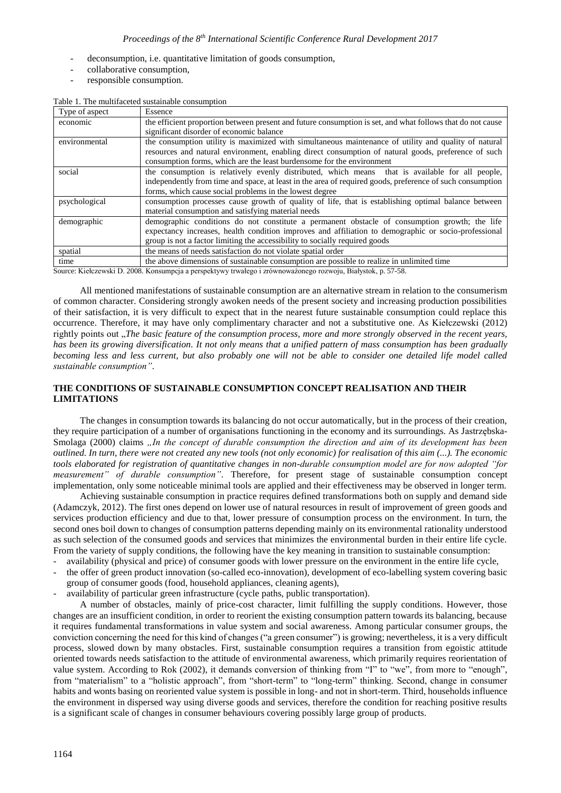- deconsumption, i.e. quantitative limitation of goods consumption,
- collaborative consumption,
- responsible consumption.

|  |  | Table 1. The multifaceted sustainable consumption |
|--|--|---------------------------------------------------|
|  |  |                                                   |

| the efficient proportion between present and future consumption is set, and what follows that do not cause<br>economic<br>significant disorder of economic balance<br>the consumption utility is maximized with simultaneous maintenance of utility and quality of natural<br>environmental<br>resources and natural environment, enabling direct consumption of natural goods, preference of such<br>consumption forms, which are the least burdensome for the environment<br>social<br>the consumption is relatively evenly distributed, which means that is available for all people,<br>independently from time and space, at least in the area of required goods, preference of such consumption<br>forms, which cause social problems in the lowest degree<br>consumption processes cause growth of quality of life, that is establishing optimal balance between<br>psychological<br>material consumption and satisfying material needs<br>demographic conditions do not constitute a permanent obstacle of consumption growth; the life<br>demographic<br>expectancy increases, health condition improves and affiliation to demographic or socio-professional | Type of aspect | Essence                                                                     |  |  |
|------------------------------------------------------------------------------------------------------------------------------------------------------------------------------------------------------------------------------------------------------------------------------------------------------------------------------------------------------------------------------------------------------------------------------------------------------------------------------------------------------------------------------------------------------------------------------------------------------------------------------------------------------------------------------------------------------------------------------------------------------------------------------------------------------------------------------------------------------------------------------------------------------------------------------------------------------------------------------------------------------------------------------------------------------------------------------------------------------------------------------------------------------------------------|----------------|-----------------------------------------------------------------------------|--|--|
|                                                                                                                                                                                                                                                                                                                                                                                                                                                                                                                                                                                                                                                                                                                                                                                                                                                                                                                                                                                                                                                                                                                                                                        |                |                                                                             |  |  |
|                                                                                                                                                                                                                                                                                                                                                                                                                                                                                                                                                                                                                                                                                                                                                                                                                                                                                                                                                                                                                                                                                                                                                                        |                |                                                                             |  |  |
|                                                                                                                                                                                                                                                                                                                                                                                                                                                                                                                                                                                                                                                                                                                                                                                                                                                                                                                                                                                                                                                                                                                                                                        |                |                                                                             |  |  |
|                                                                                                                                                                                                                                                                                                                                                                                                                                                                                                                                                                                                                                                                                                                                                                                                                                                                                                                                                                                                                                                                                                                                                                        |                |                                                                             |  |  |
|                                                                                                                                                                                                                                                                                                                                                                                                                                                                                                                                                                                                                                                                                                                                                                                                                                                                                                                                                                                                                                                                                                                                                                        |                |                                                                             |  |  |
|                                                                                                                                                                                                                                                                                                                                                                                                                                                                                                                                                                                                                                                                                                                                                                                                                                                                                                                                                                                                                                                                                                                                                                        |                |                                                                             |  |  |
|                                                                                                                                                                                                                                                                                                                                                                                                                                                                                                                                                                                                                                                                                                                                                                                                                                                                                                                                                                                                                                                                                                                                                                        |                |                                                                             |  |  |
|                                                                                                                                                                                                                                                                                                                                                                                                                                                                                                                                                                                                                                                                                                                                                                                                                                                                                                                                                                                                                                                                                                                                                                        |                |                                                                             |  |  |
|                                                                                                                                                                                                                                                                                                                                                                                                                                                                                                                                                                                                                                                                                                                                                                                                                                                                                                                                                                                                                                                                                                                                                                        |                |                                                                             |  |  |
|                                                                                                                                                                                                                                                                                                                                                                                                                                                                                                                                                                                                                                                                                                                                                                                                                                                                                                                                                                                                                                                                                                                                                                        |                |                                                                             |  |  |
|                                                                                                                                                                                                                                                                                                                                                                                                                                                                                                                                                                                                                                                                                                                                                                                                                                                                                                                                                                                                                                                                                                                                                                        |                |                                                                             |  |  |
|                                                                                                                                                                                                                                                                                                                                                                                                                                                                                                                                                                                                                                                                                                                                                                                                                                                                                                                                                                                                                                                                                                                                                                        |                |                                                                             |  |  |
|                                                                                                                                                                                                                                                                                                                                                                                                                                                                                                                                                                                                                                                                                                                                                                                                                                                                                                                                                                                                                                                                                                                                                                        |                | group is not a factor limiting the accessibility to socially required goods |  |  |
| the means of needs satisfaction do not violate spatial order<br>spatial                                                                                                                                                                                                                                                                                                                                                                                                                                                                                                                                                                                                                                                                                                                                                                                                                                                                                                                                                                                                                                                                                                |                |                                                                             |  |  |
| the above dimensions of sustainable consumption are possible to realize in unlimited time<br>time                                                                                                                                                                                                                                                                                                                                                                                                                                                                                                                                                                                                                                                                                                                                                                                                                                                                                                                                                                                                                                                                      |                |                                                                             |  |  |

Source: Kiełczewski D. 2008. Konsumpcja a perspektywy trwałego i zrównoważonego rozwoju, Białystok, p. 57-58.

All mentioned manifestations of sustainable consumption are an alternative stream in relation to the consumerism of common character. Considering strongly awoken needs of the present society and increasing production possibilities of their satisfaction, it is very difficult to expect that in the nearest future sustainable consumption could replace this occurrence. Therefore, it may have only complimentary character and not a substitutive one. As Kiełczewski (2012) rightly points out "*The basic feature of the consumption process, more and more strongly observed in the recent years, has been its growing diversification. It not only means that a unified pattern of mass consumption has been gradually*  becoming less and less current, but also probably one will not be able to consider one detailed life model called *sustainable consumption"*.

## **THE CONDITIONS OF SUSTAINABLE CONSUMPTION CONCEPT REALISATION AND THEIR LIMITATIONS**

The changes in consumption towards its balancing do not occur automatically, but in the process of their creation, they require participation of a number of organisations functioning in the economy and its surroundings. As Jastrzębska-Smolaga (2000) claims "In the concept of durable consumption the direction and aim of its development has been *outlined. In turn, there were not created any new tools (not only economic) for realisation of this aim (...). The economic tools elaborated for registration of quantitative changes in non-durable consumption model are for now adopted "for measurement" of durable consumption"*. Therefore, for present stage of sustainable consumption concept implementation, only some noticeable minimal tools are applied and their effectiveness may be observed in longer term.

Achieving sustainable consumption in practice requires defined transformations both on supply and demand side (Adamczyk, 2012). The first ones depend on lower use of natural resources in result of improvement of green goods and services production efficiency and due to that, lower pressure of consumption process on the environment. In turn, the second ones boil down to changes of consumption patterns depending mainly on its environmental rationality understood as such selection of the consumed goods and services that minimizes the environmental burden in their entire life cycle. From the variety of supply conditions, the following have the key meaning in transition to sustainable consumption:

- availability (physical and price) of consumer goods with lower pressure on the environment in the entire life cycle,
- the offer of green product innovation (so-called eco-innovation), development of eco-labelling system covering basic group of consumer goods (food, household appliances, cleaning agents),
- availability of particular green infrastructure (cycle paths, public transportation).

A number of obstacles, mainly of price-cost character, limit fulfilling the supply conditions. However, those changes are an insufficient condition, in order to reorient the existing consumption pattern towards its balancing, because it requires fundamental transformations in value system and social awareness. Among particular consumer groups, the conviction concerning the need for this kind of changes ("a green consumer") is growing; nevertheless, it is a very difficult process, slowed down by many obstacles. First, sustainable consumption requires a transition from egoistic attitude oriented towards needs satisfaction to the attitude of environmental awareness, which primarily requires reorientation of value system. According to Rok (2002), it demands conversion of thinking from "I" to "we", from more to "enough", from "materialism" to a "holistic approach", from "short-term" to "long-term" thinking. Second, change in consumer habits and wonts basing on reoriented value system is possible in long- and not in short-term. Third, households influence the environment in dispersed way using diverse goods and services, therefore the condition for reaching positive results is a significant scale of changes in consumer behaviours covering possibly large group of products.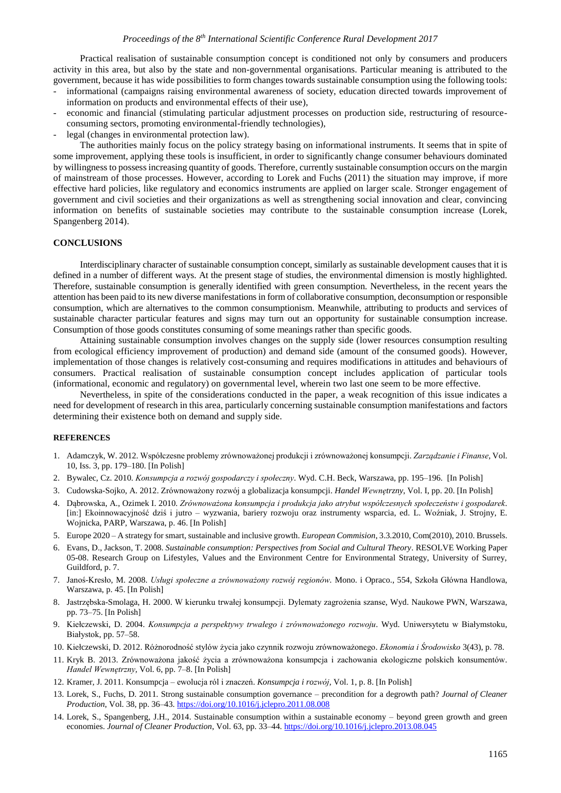Practical realisation of sustainable consumption concept is conditioned not only by consumers and producers activity in this area, but also by the state and non-governmental organisations. Particular meaning is attributed to the government, because it has wide possibilities to form changes towards sustainable consumption using the following tools:

- informational (campaigns raising environmental awareness of society, education directed towards improvement of information on products and environmental effects of their use),
- economic and financial (stimulating particular adjustment processes on production side, restructuring of resourceconsuming sectors, promoting environmental-friendly technologies),
- legal (changes in environmental protection law).

The authorities mainly focus on the policy strategy basing on informational instruments. It seems that in spite of some improvement, applying these tools is insufficient, in order to significantly change consumer behaviours dominated by willingness to possess increasing quantity of goods. Therefore, currently sustainable consumption occurs on the margin of mainstream of those processes. However, according to Lorek and Fuchs (2011) the situation may improve, if more effective hard policies, like regulatory and economics instruments are applied on larger scale. Stronger engagement of government and civil societies and their organizations as well as strengthening social innovation and clear, convincing information on benefits of sustainable societies may contribute to the sustainable consumption increase (Lorek, Spangenberg 2014).

### **CONCLUSIONS**

Interdisciplinary character of sustainable consumption concept, similarly as sustainable development causes that it is defined in a number of different ways. At the present stage of studies, the environmental dimension is mostly highlighted. Therefore, sustainable consumption is generally identified with green consumption. Nevertheless, in the recent years the attention has been paid to its new diverse manifestations in form of collaborative consumption, deconsumption or responsible consumption, which are alternatives to the common consumptionism. Meanwhile, attributing to products and services of sustainable character particular features and signs may turn out an opportunity for sustainable consumption increase. Consumption of those goods constitutes consuming of some meanings rather than specific goods.

Attaining sustainable consumption involves changes on the supply side (lower resources consumption resulting from ecological efficiency improvement of production) and demand side (amount of the consumed goods). However, implementation of those changes is relatively cost-consuming and requires modifications in attitudes and behaviours of consumers. Practical realisation of sustainable consumption concept includes application of particular tools (informational, economic and regulatory) on governmental level, wherein two last one seem to be more effective.

Nevertheless, in spite of the considerations conducted in the paper, a weak recognition of this issue indicates a need for development of research in this area, particularly concerning sustainable consumption manifestations and factors determining their existence both on demand and supply side.

#### **REFERENCES**

- 1. Adamczyk, W. 2012. Współczesne problemy zrównoważonej produkcji i zrównoważonej konsumpcji. *Zarządzanie i Finanse,* Vol. 10, Iss. 3, pp. 179–180. [In Polish]
- 2. Bywalec, Cz. 2010. *Konsumpcja a rozwój gospodarczy i społeczny*. Wyd. C.H. Beck, Warszawa, pp. 195–196. [In Polish]
- 3. Cudowska-Sojko, A. 2012. Zrównoważony rozwój a globalizacja konsumpcji. *Handel Wewnętrzny*, Vol. I, pp. 20. [In Polish]
- 4. Dąbrowska, A., Ozimek I. 2010. *Zrównoważona konsumpcja i produkcja jako atrybut współczesnych społeczeństw i gospodarek*. [in:] Ekoinnowacyjność dziś i jutro – wyzwania, bariery rozwoju oraz instrumenty wsparcia, ed. L. Woźniak, J. Strojny, E. Wojnicka, PARP, Warszawa, p. 46. [In Polish]
- 5. Europe 2020 A strategy for smart, sustainable and inclusive growth. *European Commision*, 3.3.2010, Com(2010), 2010. Brussels.
- 6. Evans, D., Jackson, T. 2008. *Sustainable consumption: Perspectives from Social and Cultural Theory*. RESOLVE Working Paper 05-08. Research Group on Lifestyles, Values and the Environment Centre for Environmental Strategy, University of Surrey, Guildford, p. 7.
- 7. Janoś-Kresło, M. 2008. *Usługi społeczne a zrównoważony rozwój regionów.* Mono. i Opraco., 554, Szkoła Główna Handlowa, Warszawa, p. 45. [In Polish]
- 8. Jastrzębska-Smolaga, H. 2000. W kierunku trwałej konsumpcji. Dylematy zagrożenia szanse, Wyd. Naukowe PWN, Warszawa, pp. 73–75. [In Polish]
- 9. Kiełczewski, D. 2004. *Konsumpcja a perspektywy trwałego i zrównoważonego rozwoju*. Wyd. Uniwersytetu w Białymstoku, Białystok, pp. 57–58.
- 10. Kiełczewski, D. 2012. Różnorodność stylów życia jako czynnik rozwoju zrównoważonego. *Ekonomia i Środowisko* 3(43), p. 78.
- 11. Kryk B. 2013. Zrównoważona jakość życia a zrównoważona konsumpcja i zachowania ekologiczne polskich konsumentów. *Handel Wewnętrzny,* Vol. 6, pp. 7–8. [In Polish]
- 12. Kramer, J. 2011. Konsumpcja ewolucja ról i znaczeń. *Konsumpcja i rozwój,* Vol. 1, p. 8. [In Polish]
- 13. Lorek, S., Fuchs, D. 2011. Strong sustainable consumption governance precondition for a degrowth path? *Journal of Cleaner Production*, Vol. 38, pp. 36–43. <https://doi.org/10.1016/j.jclepro.2011.08.008>
- 14. Lorek, S., Spangenberg, J.H., 2014. Sustainable consumption within a sustainable economy beyond green growth and green economies. *Journal of Cleaner Production*, Vol. 63, pp. 33–44. <https://doi.org/10.1016/j.jclepro.2013.08.045>